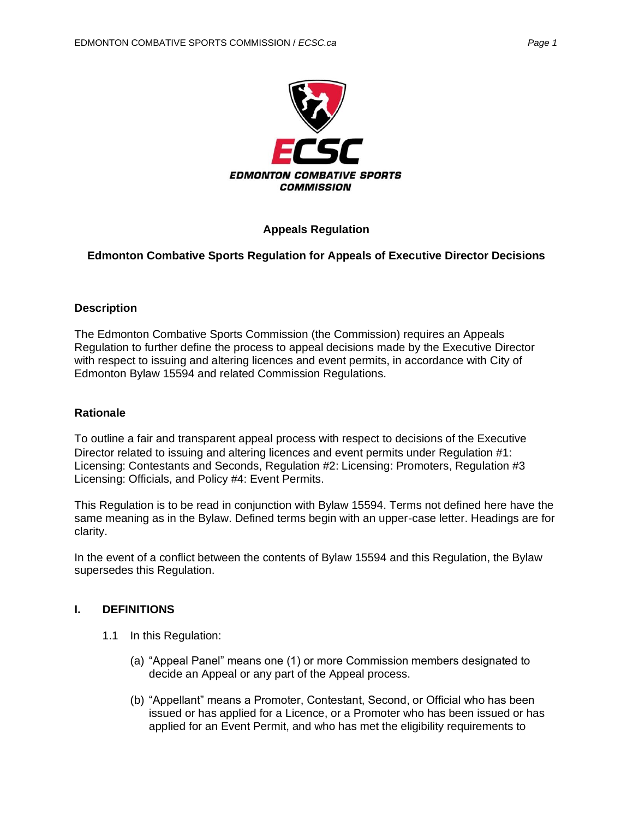

## **Appeals Regulation**

### **Edmonton Combative Sports Regulation for Appeals of Executive Director Decisions**

### **Description**

The Edmonton Combative Sports Commission (the Commission) requires an Appeals Regulation to further define the process to appeal decisions made by the Executive Director with respect to issuing and altering licences and event permits, in accordance with City of Edmonton Bylaw 15594 and related Commission Regulations.

#### **Rationale**

To outline a fair and transparent appeal process with respect to decisions of the Executive Director related to issuing and altering licences and event permits under Regulation #1: Licensing: Contestants and Seconds, Regulation #2: Licensing: Promoters, Regulation #3 Licensing: Officials, and Policy #4: Event Permits.

This Regulation is to be read in conjunction with Bylaw 15594. Terms not defined here have the same meaning as in the Bylaw. Defined terms begin with an upper-case letter. Headings are for clarity.

In the event of a conflict between the contents of Bylaw 15594 and this Regulation, the Bylaw supersedes this Regulation.

### **I. DEFINITIONS**

- 1.1 In this Regulation:
	- (a) "Appeal Panel" means one (1) or more Commission members designated to decide an Appeal or any part of the Appeal process.
	- (b) "Appellant" means a Promoter, Contestant, Second, or Official who has been issued or has applied for a Licence, or a Promoter who has been issued or has applied for an Event Permit, and who has met the eligibility requirements to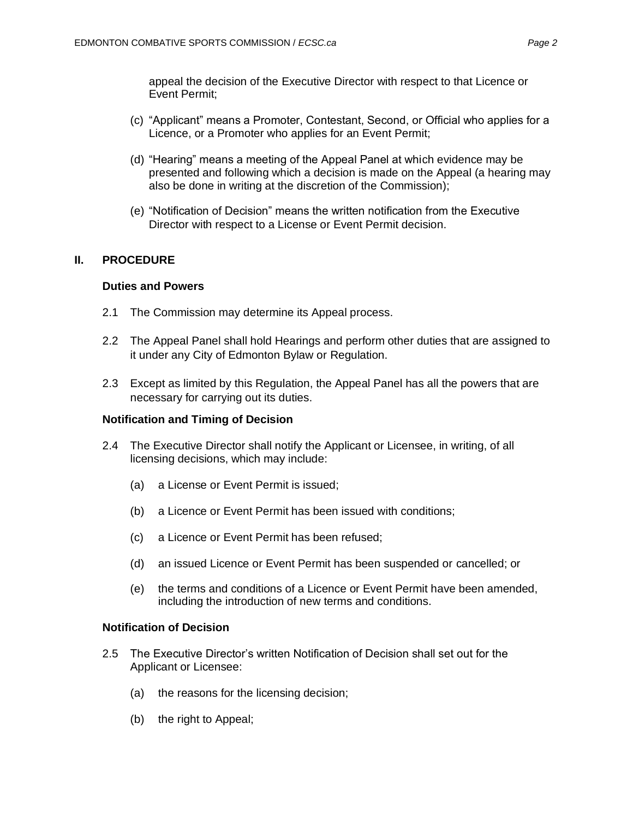appeal the decision of the Executive Director with respect to that Licence or Event Permit;

- (c) "Applicant" means a Promoter, Contestant, Second, or Official who applies for a Licence, or a Promoter who applies for an Event Permit;
- (d) "Hearing" means a meeting of the Appeal Panel at which evidence may be presented and following which a decision is made on the Appeal (a hearing may also be done in writing at the discretion of the Commission);
- (e) "Notification of Decision" means the written notification from the Executive Director with respect to a License or Event Permit decision.

# **II. PROCEDURE**

## **Duties and Powers**

- 2.1 The Commission may determine its Appeal process.
- 2.2 The Appeal Panel shall hold Hearings and perform other duties that are assigned to it under any City of Edmonton Bylaw or Regulation.
- 2.3 Except as limited by this Regulation, the Appeal Panel has all the powers that are necessary for carrying out its duties.

### **Notification and Timing of Decision**

- 2.4 The Executive Director shall notify the Applicant or Licensee, in writing, of all licensing decisions, which may include:
	- (a) a License or Event Permit is issued;
	- (b) a Licence or Event Permit has been issued with conditions;
	- (c) a Licence or Event Permit has been refused;
	- (d) an issued Licence or Event Permit has been suspended or cancelled; or
	- (e) the terms and conditions of a Licence or Event Permit have been amended, including the introduction of new terms and conditions.

### **Notification of Decision**

- 2.5 The Executive Director's written Notification of Decision shall set out for the Applicant or Licensee:
	- (a) the reasons for the licensing decision;
	- (b) the right to Appeal;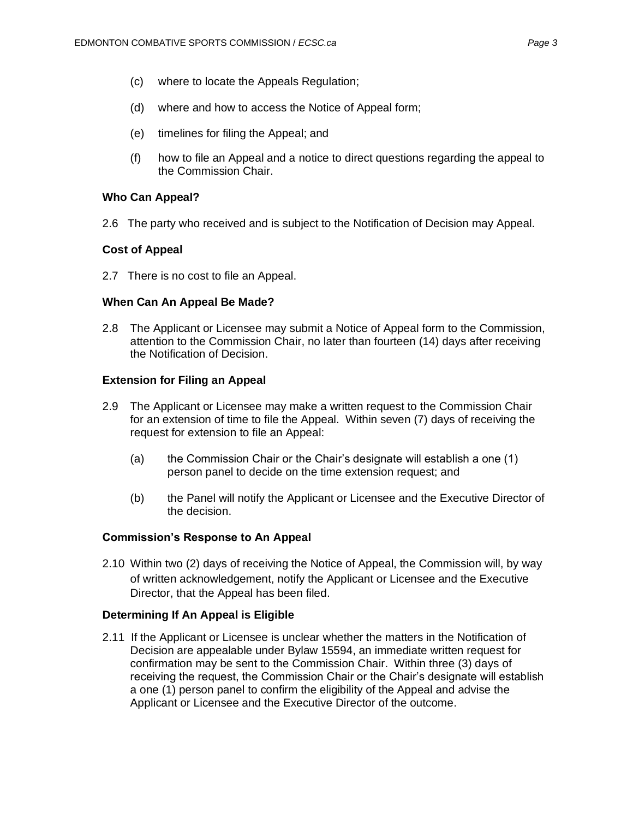- (c) where to locate the Appeals Regulation;
- (d) where and how to access the Notice of Appeal form;
- (e) timelines for filing the Appeal; and
- (f) how to file an Appeal and a notice to direct questions regarding the appeal to the Commission Chair.

# **Who Can Appeal?**

2.6 The party who received and is subject to the Notification of Decision may Appeal.

# **Cost of Appeal**

2.7 There is no cost to file an Appeal.

# **When Can An Appeal Be Made?**

2.8 The Applicant or Licensee may submit a Notice of Appeal form to the Commission, attention to the Commission Chair, no later than fourteen (14) days after receiving the Notification of Decision.

## **Extension for Filing an Appeal**

- 2.9 The Applicant or Licensee may make a written request to the Commission Chair for an extension of time to file the Appeal. Within seven (7) days of receiving the request for extension to file an Appeal:
	- (a) the Commission Chair or the Chair's designate will establish a one (1) person panel to decide on the time extension request; and
	- (b) the Panel will notify the Applicant or Licensee and the Executive Director of the decision.

# **Commission's Response to An Appeal**

2.10 Within two (2) days of receiving the Notice of Appeal, the Commission will, by way of written acknowledgement, notify the Applicant or Licensee and the Executive Director, that the Appeal has been filed.

# **Determining If An Appeal is Eligible**

2.11 If the Applicant or Licensee is unclear whether the matters in the Notification of Decision are appealable under Bylaw 15594, an immediate written request for confirmation may be sent to the Commission Chair. Within three (3) days of receiving the request, the Commission Chair or the Chair's designate will establish a one (1) person panel to confirm the eligibility of the Appeal and advise the Applicant or Licensee and the Executive Director of the outcome.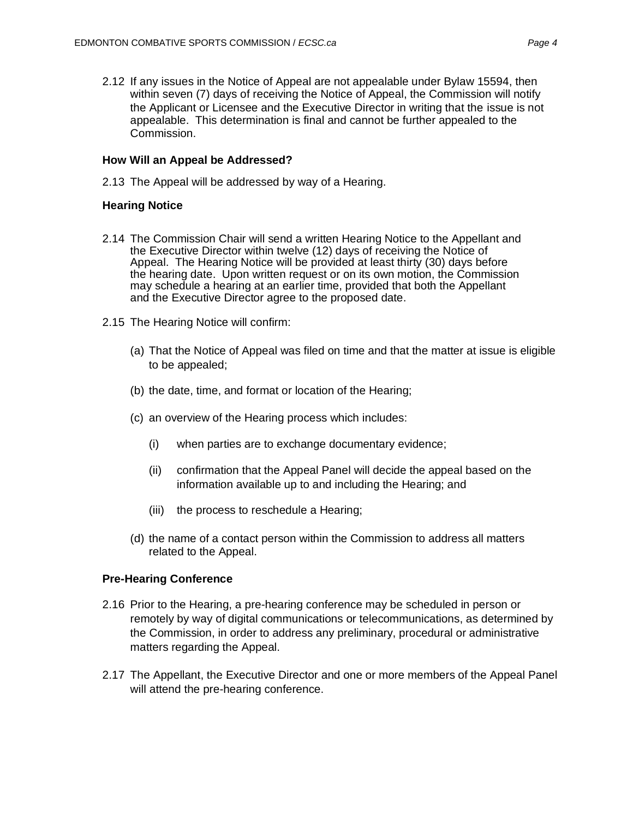# **How Will an Appeal be Addressed?**

2.13 The Appeal will be addressed by way of a Hearing.

# **Hearing Notice**

- 2.14 The Commission Chair will send a written Hearing Notice to the Appellant and the Executive Director within twelve (12) days of receiving the Notice of Appeal. The Hearing Notice will be provided at least thirty (30) days before the hearing date. Upon written request or on its own motion, the Commission may schedule a hearing at an earlier time, provided that both the Appellant and the Executive Director agree to the proposed date.
- 2.15 The Hearing Notice will confirm:
	- (a) That the Notice of Appeal was filed on time and that the matter at issue is eligible to be appealed;
	- (b) the date, time, and format or location of the Hearing;
	- (c) an overview of the Hearing process which includes:
		- (i) when parties are to exchange documentary evidence;
		- (ii) confirmation that the Appeal Panel will decide the appeal based on the information available up to and including the Hearing; and
		- (iii) the process to reschedule a Hearing;
	- (d) the name of a contact person within the Commission to address all matters related to the Appeal.

# **Pre-Hearing Conference**

- 2.16 Prior to the Hearing, a pre-hearing conference may be scheduled in person or remotely by way of digital communications or telecommunications, as determined by the Commission, in order to address any preliminary, procedural or administrative matters regarding the Appeal.
- 2.17 The Appellant, the Executive Director and one or more members of the Appeal Panel will attend the pre-hearing conference.